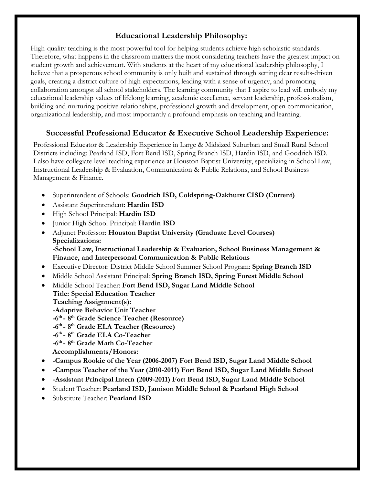# **Educational Leadership Philosophy:**

High-quality teaching is the most powerful tool for helping students achieve high scholastic standards. Therefore, what happens in the classroom matters the most considering teachers have the greatest impact on student growth and achievement. With students at the heart of my educational leadership philosophy, I believe that a prosperous school community is only built and sustained through setting clear results-driven goals, creating a district culture of high expectations, leading with a sense of urgency, and promoting collaboration amongst all school stakeholders. The learning community that I aspire to lead will embody my educational leadership values of lifelong learning, academic excellence, servant leadership, professionalism, building and nurturing positive relationships, professional growth and development, open communication, organizational leadership, and most importantly a profound emphasis on teaching and learning.

### **Successful Professional Educator & Executive School Leadership Experience:**

Professional Educator & Leadership Experience in Large & Midsized Suburban and Small Rural School Districts including: Pearland ISD, Fort Bend ISD, Spring Branch ISD, Hardin ISD, and Goodrich ISD. I also have collegiate level teaching experience at Houston Baptist University, specializing in School Law, Instructional Leadership & Evaluation, Communication & Public Relations, and School Business Management & Finance.

- Superintendent of Schools: **Goodrich ISD, Coldspring-Oakhurst CISD (Current)**
- Assistant Superintendent: **Hardin ISD**
- High School Principal: **Hardin ISD**
- Junior High School Principal: **Hardin ISD**
- Adjunct Professor: **Houston Baptist University (Graduate Level Courses) Specializations: -School Law, Instructional Leadership & Evaluation, School Business Management & Finance, and Interpersonal Communication & Public Relations**
- Executive Director: District Middle School Summer School Program: **Spring Branch ISD**
- Middle School Assistant Principal: **Spring Branch ISD, Spring Forest Middle School**
- Middle School Teacher: **Fort Bend ISD, Sugar Land Middle School Title: Special Education Teacher Teaching Assignment(s): -Adaptive Behavior Unit Teacher -6th - 8th Grade Science Teacher (Resource) -6th - 8th Grade ELA Teacher (Resource) -6th - 8th Grade ELA Co-Teacher -6th - 8th Grade Math Co-Teacher Accomplishments/Honors:**
- **-Campus Rookie of the Year (2006-2007) Fort Bend ISD, Sugar Land Middle School**
- **-Campus Teacher of the Year (2010-2011) Fort Bend ISD, Sugar Land Middle School**
- **-Assistant Principal Intern (2009-2011) Fort Bend ISD, Sugar Land Middle School**
- Student Teacher: **Pearland ISD, Jamison Middle School & Pearland High School**
- Substitute Teacher: **Pearland ISD**